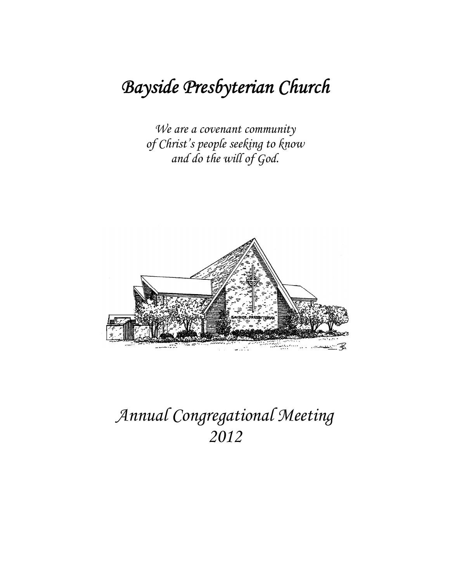# Bayside Presbyterian Church

We are a covenant community of Christ's people seeking to know and do the will of God.



# Annual Congregational Meeting 2012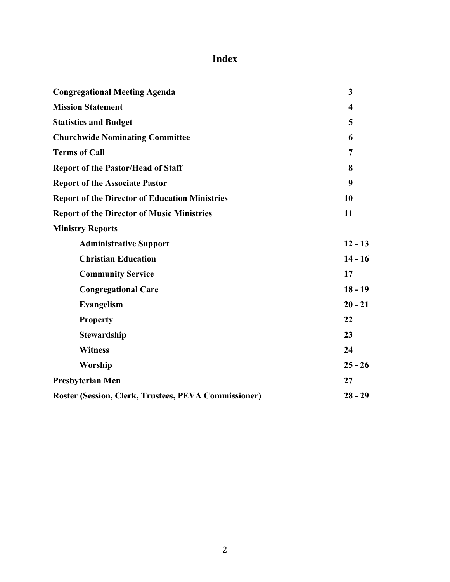# Index

| <b>Congregational Meeting Agenda</b>                  | 3                       |
|-------------------------------------------------------|-------------------------|
| <b>Mission Statement</b>                              | $\overline{\mathbf{4}}$ |
| <b>Statistics and Budget</b>                          | 5                       |
| <b>Churchwide Nominating Committee</b>                | 6                       |
| <b>Terms of Call</b>                                  | $\overline{7}$          |
| <b>Report of the Pastor/Head of Staff</b>             | 8                       |
| <b>Report of the Associate Pastor</b>                 | 9                       |
| <b>Report of the Director of Education Ministries</b> | 10                      |
| <b>Report of the Director of Music Ministries</b>     | 11                      |
| <b>Ministry Reports</b>                               |                         |
| <b>Administrative Support</b>                         | $12 - 13$               |
| <b>Christian Education</b>                            | $14 - 16$               |
| <b>Community Service</b>                              | 17                      |
| <b>Congregational Care</b>                            | $18 - 19$               |
| Evangelism                                            | $20 - 21$               |
| <b>Property</b>                                       | 22                      |
| <b>Stewardship</b>                                    | 23                      |
| <b>Witness</b>                                        | 24                      |
| Worship                                               | $25 - 26$               |
| <b>Presbyterian Men</b>                               | 27                      |
| Roster (Session, Clerk, Trustees, PEVA Commissioner)  | $28 - 29$               |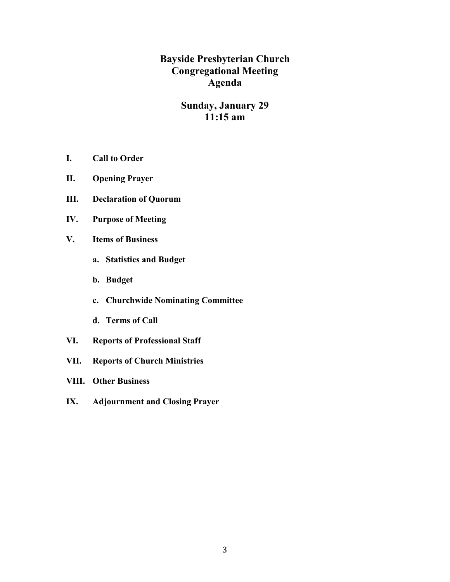**Bayside Presbyterian Church Congregational Meeting Agenda** 

# **Sunday, January 29**  $11:15$  am

- I. **Call to Order**
- **Opening Prayer** II.
- Ш. **Declaration of Quorum**
- IV. **Purpose of Meeting**
- $V_{\bullet}$ **Items of Business** 
	- a. Statistics and Budget
	- b. Budget
	- c. Churchwide Nominating Committee
	- d. Terms of Call
- VI. **Reports of Professional Staff**
- **Reports of Church Ministries** VII.
- **VIII.** Other Business
- **Adjournment and Closing Prayer** IX.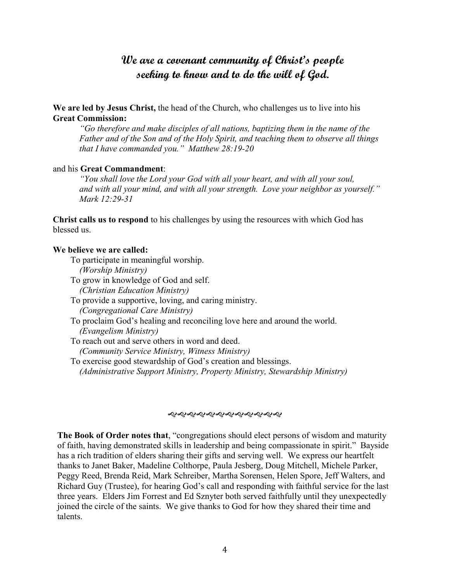# We are a covenant community of Christ's people seeking to know and to do the will of God.

We are led by Jesus Christ, the head of the Church, who challenges us to live into his **Great Commission:** 

"Go therefore and make disciples of all nations, baptizing them in the name of the Father and of the Son and of the Holy Spirit, and teaching them to observe all things that I have commanded you." Matthew  $28:19-20$ 

#### and his Great Commandment:

"You shall love the Lord your God with all your heart, and with all your soul, and with all your mind, and with all your strength. Love your neighbor as yourself." Mark 12:29-31

**Christ calls us to respond to his challenges by using the resources with which God has** blessed us

#### We believe we are called:

- To participate in meaningful worship. (Worship Ministry)
- To grow in knowledge of God and self. (Christian Education Ministry)
- To provide a supportive, loving, and caring ministry. *(Congregational Care Ministry)*
- To proclaim God's healing and reconciling love here and around the world. (Evangelism Ministry)
- To reach out and serve others in word and deed. (Community Service Ministry, Witness Ministry)
- To exercise good stewardship of God's creation and blessings. (Administrative Support Ministry, Property Ministry, Stewardship Ministry)

#### *સર્વેશ્વરું સર્વાસરો સર્વાસરો*

The Book of Order notes that, "congregations should elect persons of wisdom and maturity of faith, having demonstrated skills in leadership and being compassionate in spirit." Bayside has a rich tradition of elders sharing their gifts and serving well. We express our heartfelt thanks to Janet Baker, Madeline Colthorpe, Paula Jesberg, Doug Mitchell, Michele Parker, Peggy Reed, Brenda Reid, Mark Schreiber, Martha Sorensen, Helen Spore, Jeff Walters, and Richard Guy (Trustee), for hearing God's call and responding with faithful service for the last three years. Elders Jim Forrest and Ed Sznyter both served faithfully until they unexpectedly joined the circle of the saints. We give thanks to God for how they shared their time and talents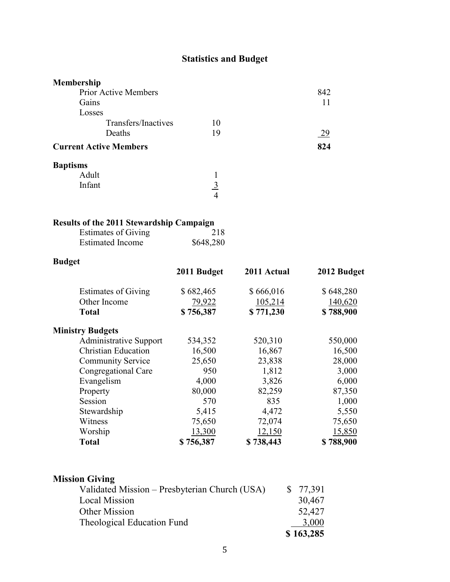# **Statistics and Budget**

| Membership                    |          |     |
|-------------------------------|----------|-----|
| Prior Active Members          |          | 842 |
| Gains                         |          |     |
| Losses                        |          |     |
| Transfers/Inactives           | 10       |     |
| Deaths                        | 19       | 29  |
| <b>Current Active Members</b> |          | 824 |
| <b>Baptisms</b>               |          |     |
| Adult                         |          |     |
| Infant                        | <u>3</u> |     |
|                               | 4        |     |

# Results of the 2011 Stewardship Campaign

| <b>Estimates of Giving</b> | 218       |
|----------------------------|-----------|
| <b>Estimated Income</b>    | \$648,280 |

# **Budget**

|                               | 2011 Budget | 2011 Actual | 2012 Budget |
|-------------------------------|-------------|-------------|-------------|
| <b>Estimates of Giving</b>    | \$682,465   | \$666,016   | \$648,280   |
| Other Income                  | 79,922      | 105,214     | 140,620     |
| <b>Total</b>                  | \$756,387   | \$771,230   | \$788,900   |
| <b>Ministry Budgets</b>       |             |             |             |
| <b>Administrative Support</b> | 534,352     | 520,310     | 550,000     |
| <b>Christian Education</b>    | 16,500      | 16,867      | 16,500      |
| <b>Community Service</b>      | 25,650      | 23,838      | 28,000      |
| Congregational Care           | 950         | 1,812       | 3,000       |
| Evangelism                    | 4,000       | 3,826       | 6,000       |
| Property                      | 80,000      | 82,259      | 87,350      |
| Session                       | 570         | 835         | 1,000       |
| Stewardship                   | 5,415       | 4,472       | 5,550       |
| Witness                       | 75,650      | 72,074      | 75,650      |
| Worship                       | 13,300      | 12,150      | 15,850      |
| <b>Total</b>                  | \$756,387   | \$738,443   | \$788,900   |

# **Mission Giving**

| Validated Mission – Presbyterian Church (USA) | \$77,391  |
|-----------------------------------------------|-----------|
| <b>Local Mission</b>                          | 30,467    |
| Other Mission                                 | 52,427    |
| Theological Education Fund                    | 3,000     |
|                                               | \$163,285 |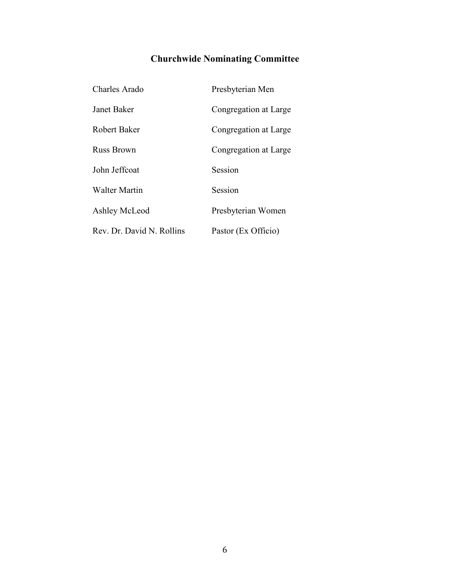# **Churchwide Nominating Committee**

| Charles Arado             | Presbyterian Men      |
|---------------------------|-----------------------|
| Janet Baker               | Congregation at Large |
| <b>Robert Baker</b>       | Congregation at Large |
| <b>Russ Brown</b>         | Congregation at Large |
| John Jeffcoat             | Session               |
| Walter Martin             | Session               |
| Ashley McLeod             | Presbyterian Women    |
| Rev. Dr. David N. Rollins | Pastor (Ex Officio)   |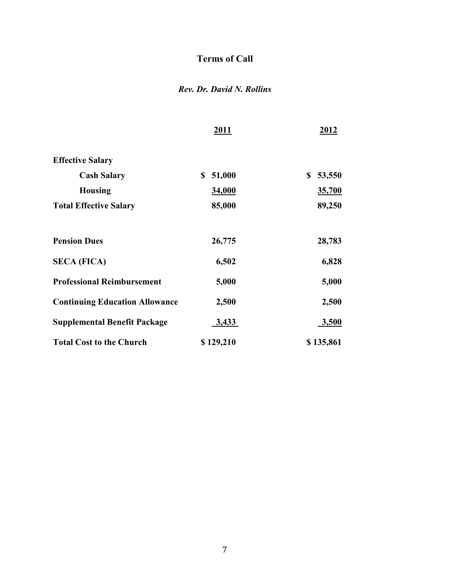# **Terms of Call**

# Rev. Dr. David N. Rollins

|                                       | 2011         | 2012         |
|---------------------------------------|--------------|--------------|
| <b>Effective Salary</b>               |              |              |
| <b>Cash Salary</b>                    | 51,000<br>\$ | \$<br>53,550 |
| <b>Housing</b>                        | 34,000       | 35,700       |
| <b>Total Effective Salary</b>         | 85,000       | 89,250       |
| <b>Pension Dues</b>                   | 26,775       | 28,783       |
| <b>SECA (FICA)</b>                    | 6,502        | 6,828        |
| <b>Professional Reimbursement</b>     | 5,000        | 5,000        |
| <b>Continuing Education Allowance</b> | 2,500        | 2,500        |
| <b>Supplemental Benefit Package</b>   | 3,433        | 3,500        |
| <b>Total Cost to the Church</b>       | \$129,210    | \$135,861    |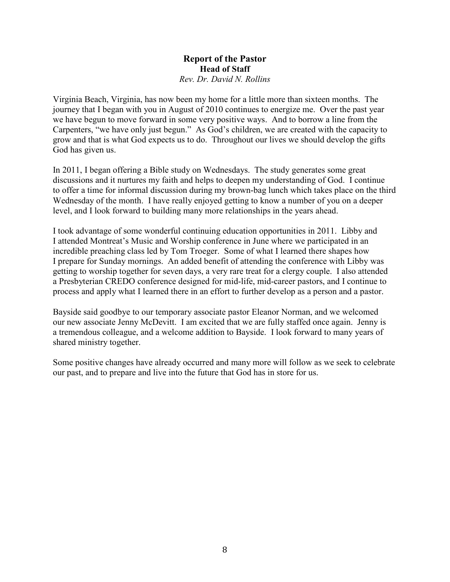#### **Report of the Pastor Head of Staff** Rev. Dr. David N. Rollins

Virginia Beach, Virginia, has now been my home for a little more than sixteen months. The journey that I began with you in August of 2010 continues to energize me. Over the past year we have begun to move forward in some very positive ways. And to borrow a line from the Carpenters, "we have only just begun." As God's children, we are created with the capacity to grow and that is what God expects us to do. Throughout our lives we should develop the gifts God has given us.

In 2011, I began offering a Bible study on Wednesdays. The study generates some great discussions and it nurtures my faith and helps to deepen my understanding of God. I continue to offer a time for informal discussion during my brown-bag lunch which takes place on the third Wednesday of the month. I have really enjoyed getting to know a number of you on a deeper level, and I look forward to building many more relationships in the years ahead.

I took advantage of some wonderful continuing education opportunities in 2011. Libby and I attended Montreat's Music and Worship conference in June where we participated in an incredible preaching class led by Tom Troeger. Some of what I learned there shapes how I prepare for Sunday mornings. An added benefit of attending the conference with Libby was getting to worship together for seven days, a very rare treat for a clergy couple. I also attended a Presbyterian CREDO conference designed for mid-life, mid-career pastors, and I continue to process and apply what I learned there in an effort to further develop as a person and a pastor.

Bayside said goodbye to our temporary associate pastor Eleanor Norman, and we welcomed our new associate Jenny McDevitt. I am excited that we are fully staffed once again. Jenny is a tremendous colleague, and a welcome addition to Bayside. I look forward to many years of shared ministry together.

Some positive changes have already occurred and many more will follow as we seek to celebrate our past, and to prepare and live into the future that God has in store for us.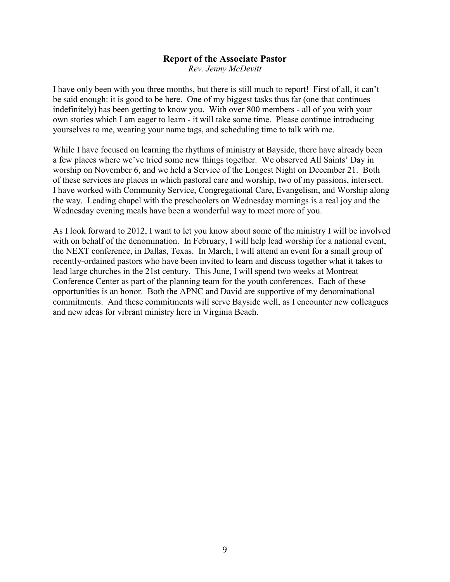# **Report of the Associate Pastor**

Rev. Jenny McDevitt

I have only been with you three months, but there is still much to report! First of all, it can't be said enough: it is good to be here. One of my biggest tasks thus far (one that continues indefinitely) has been getting to know you. With over 800 members - all of you with your own stories which I am eager to learn - it will take some time. Please continue introducing yourselves to me, wearing your name tags, and scheduling time to talk with me.

While I have focused on learning the rhythms of ministry at Bayside, there have already been a few places where we've tried some new things together. We observed All Saints' Day in worship on November 6, and we held a Service of the Longest Night on December 21. Both of these services are places in which pastoral care and worship, two of my passions, intersect. I have worked with Community Service, Congregational Care, Evangelism, and Worship along the way. Leading chapel with the preschoolers on Wednesday mornings is a real joy and the Wednesday evening meals have been a wonderful way to meet more of you.

As I look forward to 2012, I want to let you know about some of the ministry I will be involved with on behalf of the denomination. In February, I will help lead worship for a national event, the NEXT conference, in Dallas, Texas. In March, I will attend an event for a small group of recently-ordained pastors who have been invited to learn and discuss together what it takes to lead large churches in the 21st century. This June, I will spend two weeks at Montreat Conference Center as part of the planning team for the youth conferences. Each of these opportunities is an honor. Both the APNC and David are supportive of my denominational commitments. And these commitments will serve Bayside well, as I encounter new colleagues and new ideas for vibrant ministry here in Virginia Beach.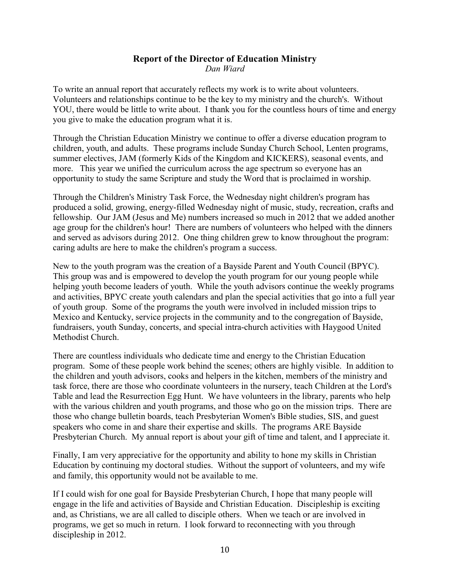# **Report of the Director of Education Ministry**

Dan Wiard

To write an annual report that accurately reflects my work is to write about volunteers. Volunteers and relationships continue to be the key to my ministry and the church's. Without YOU, there would be little to write about. I thank you for the countless hours of time and energy you give to make the education program what it is.

Through the Christian Education Ministry we continue to offer a diverse education program to children, youth, and adults. These programs include Sunday Church School, Lenten programs, summer electives, JAM (formerly Kids of the Kingdom and KICKERS), seasonal events, and more. This year we unified the curriculum across the age spectrum so everyone has an opportunity to study the same Scripture and study the Word that is proclaimed in worship.

Through the Children's Ministry Task Force, the Wednesday night children's program has produced a solid, growing, energy-filled Wednesday night of music, study, recreation, crafts and fellowship. Our JAM (Jesus and Me) numbers increased so much in 2012 that we added another age group for the children's hour! There are numbers of volunteers who helped with the dinners and served as advisors during 2012. One thing children grew to know throughout the program: caring adults are here to make the children's program a success.

New to the youth program was the creation of a Bayside Parent and Youth Council (BPYC). This group was and is empowered to develop the youth program for our young people while helping youth become leaders of youth. While the youth advisors continue the weekly programs and activities. BPYC create youth calendars and plan the special activities that go into a full year of youth group. Some of the programs the youth were involved in included mission trips to Mexico and Kentucky, service projects in the community and to the congregation of Bayside, fundraisers, youth Sunday, concerts, and special intra-church activities with Haygood United Methodist Church

There are countless individuals who dedicate time and energy to the Christian Education program. Some of these people work behind the scenes; others are highly visible. In addition to the children and youth advisors, cooks and helpers in the kitchen, members of the ministry and task force, there are those who coordinate volunteers in the nursery, teach Children at the Lord's Table and lead the Resurrection Egg Hunt. We have volunteers in the library, parents who help with the various children and youth programs, and those who go on the mission trips. There are those who change bulletin boards, teach Presbyterian Women's Bible studies, SIS, and guest speakers who come in and share their expertise and skills. The programs ARE Bayside Presbyterian Church. My annual report is about your gift of time and talent, and I appreciate it.

Finally, I am very appreciative for the opportunity and ability to hone my skills in Christian Education by continuing my doctoral studies. Without the support of volunteers, and my wife and family, this opportunity would not be available to me.

If I could wish for one goal for Bayside Presbyterian Church, I hope that many people will engage in the life and activities of Bayside and Christian Education. Discipleship is exciting and, as Christians, we are all called to disciple others. When we teach or are involved in programs, we get so much in return. I look forward to reconnecting with you through discipleship in 2012.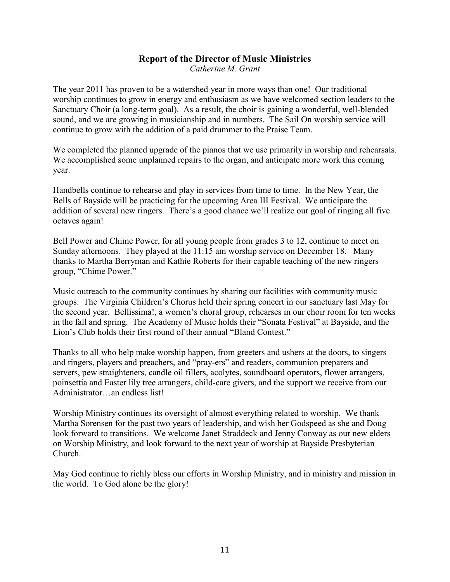#### **Report of the Director of Music Ministries** Catherine M. Grant

The year 2011 has proven to be a watershed year in more ways than one! Our traditional worship continues to grow in energy and enthusiasm as we have welcomed section leaders to the Sanctuary Choir (a long-term goal). As a result, the choir is gaining a wonderful, well-blended sound, and we are growing in musicianship and in numbers. The Sail On worship service will continue to grow with the addition of a paid drummer to the Praise Team.

We completed the planned upgrade of the pianos that we use primarily in worship and rehearsals. We accomplished some unplanned repairs to the organ, and anticipate more work this coming year.

Handbells continue to rehearse and play in services from time to time. In the New Year, the Bells of Bayside will be practicing for the upcoming Area III Festival. We anticipate the addition of several new ringers. There's a good chance we'll realize our goal of ringing all five octaves again!

Bell Power and Chime Power, for all young people from grades 3 to 12, continue to meet on Sunday afternoons. They played at the 11:15 am worship service on December 18. Many thanks to Martha Berryman and Kathie Roberts for their capable teaching of the new ringers group, "Chime Power."

Music outreach to the community continues by sharing our facilities with community music groups. The Virginia Children's Chorus held their spring concert in our sanctuary last May for the second year. Bellissima!, a women's choral group, rehearses in our choir room for ten weeks in the fall and spring. The Academy of Music holds their "Sonata Festival" at Bayside, and the Lion's Club holds their first round of their annual "Bland Contest."

Thanks to all who help make worship happen, from greeters and ushers at the doors, to singers and ringers, players and preachers, and "pray-ers" and readers, communion preparers and servers, pew straighteners, candle oil fillers, acolytes, soundboard operators, flower arrangers, poinsettia and Easter lily tree arrangers, child-care givers, and the support we receive from our Administrator...an endless list!

Worship Ministry continues its oversight of almost everything related to worship. We thank Martha Sorensen for the past two years of leadership, and wish her Godspeed as she and Doug look forward to transitions. We welcome Janet Straddeck and Jenny Conway as our new elders on Worship Ministry, and look forward to the next year of worship at Bayside Presbyterian Church.

May God continue to richly bless our efforts in Worship Ministry, and in ministry and mission in the world. To God alone be the glory!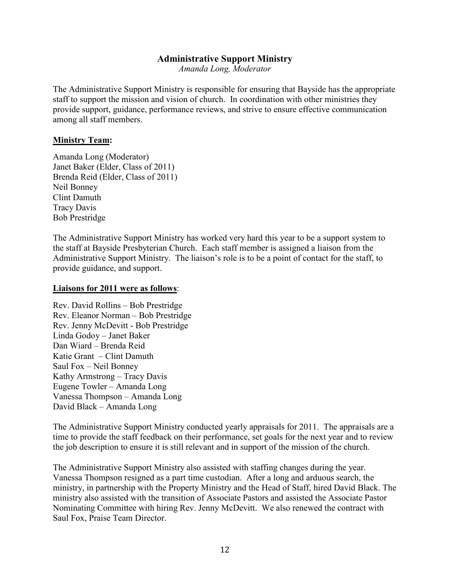## **Administrative Support Ministry**

Amanda Long, Moderator

The Administrative Support Ministry is responsible for ensuring that Bayside has the appropriate staff to support the mission and vision of church. In coordination with other ministries they provide support, guidance, performance reviews, and strive to ensure effective communication among all staff members.

#### **Ministry Team:**

Amanda Long (Moderator) Janet Baker (Elder, Class of 2011) Brenda Reid (Elder, Class of 2011) Neil Bonney Clint Damuth Tracy Davis **Bob Prestridge** 

The Administrative Support Ministry has worked very hard this year to be a support system to the staff at Bayside Presbyterian Church. Each staff member is assigned a liaison from the Administrative Support Ministry. The liaison's role is to be a point of contact for the staff, to provide guidance, and support.

#### **Liaisons for 2011 were as follows:**

Rev. David Rollins - Bob Prestridge Rev. Eleanor Norman - Bob Prestridge Rev. Jenny McDevitt - Bob Prestridge Linda Godov - Janet Baker Dan Wiard - Brenda Reid Katie Grant – Clint Damuth Saul Fox – Neil Bonney Kathy Armstrong - Tracy Davis Eugene Towler - Amanda Long Vanessa Thompson - Amanda Long David Black - Amanda Long

The Administrative Support Ministry conducted yearly appraisals for 2011. The appraisals are a time to provide the staff feedback on their performance, set goals for the next year and to review the job description to ensure it is still relevant and in support of the mission of the church.

The Administrative Support Ministry also assisted with staffing changes during the year. Vanessa Thompson resigned as a part time custodian. After a long and arduous search, the ministry, in partnership with the Property Ministry and the Head of Staff, hired David Black. The ministry also assisted with the transition of Associate Pastors and assisted the Associate Pastor Nominating Committee with hiring Rev. Jenny McDevitt. We also renewed the contract with Saul Fox, Praise Team Director.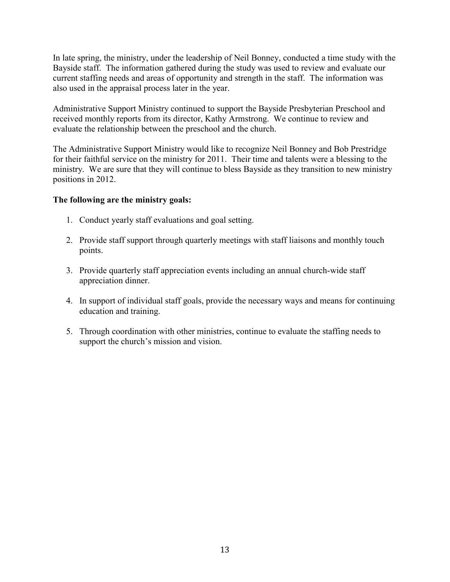In late spring, the ministry, under the leadership of Neil Bonney, conducted a time study with the Bayside staff. The information gathered during the study was used to review and evaluate our current staffing needs and areas of opportunity and strength in the staff. The information was also used in the appraisal process later in the year.

Administrative Support Ministry continued to support the Bayside Presbyterian Preschool and received monthly reports from its director, Kathy Armstrong. We continue to review and evaluate the relationship between the preschool and the church.

The Administrative Support Ministry would like to recognize Neil Bonney and Bob Prestridge for their faithful service on the ministry for 2011. Their time and talents were a blessing to the ministry. We are sure that they will continue to bless Bayside as they transition to new ministry positions in 2012.

#### The following are the ministry goals:

- 1. Conduct yearly staff evaluations and goal setting.
- 2. Provide staff support through quarterly meetings with staff liaisons and monthly touch points.
- 3. Provide quarterly staff appreciation events including an annual church-wide staff appreciation dinner.
- 4. In support of individual staff goals, provide the necessary ways and means for continuing education and training.
- 5. Through coordination with other ministries, continue to evaluate the staffing needs to support the church's mission and vision.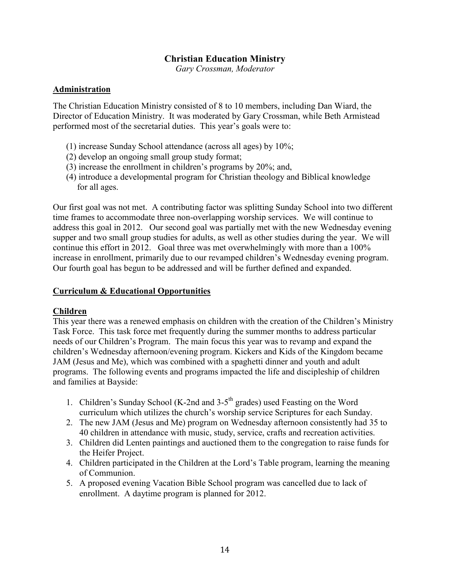## **Christian Education Ministry**

Gary Crossman, Moderator

#### **Administration**

The Christian Education Ministry consisted of 8 to 10 members, including Dan Wiard, the Director of Education Ministry. It was moderated by Gary Crossman, while Beth Armistead performed most of the secretarial duties. This year's goals were to:

- (1) increase Sunday School attendance (across all ages) by  $10\%$ ;
- (2) develop an ongoing small group study format;
- $(3)$  increase the enrollment in children's programs by 20%; and,
- (4) introduce a developmental program for Christian theology and Biblical knowledge for all ages.

Our first goal was not met. A contributing factor was splitting Sunday School into two different time frames to accommodate three non-overlapping worship services. We will continue to address this goal in 2012. Our second goal was partially met with the new Wednesday evening supper and two small group studies for adults, as well as other studies during the year. We will continue this effort in 2012. Goal three was met overwhelmingly with more than a 100% increase in enrollment, primarily due to our revamped children's Wednesday evening program. Our fourth goal has begun to be addressed and will be further defined and expanded.

#### **Curriculum & Educational Opportunities**

#### Children

This year there was a renewed emphasis on children with the creation of the Children's Ministry Task Force. This task force met frequently during the summer months to address particular needs of our Children's Program. The main focus this year was to revamp and expand the children's Wednesday afternoon/evening program. Kickers and Kids of the Kingdom became JAM (Jesus and Me), which was combined with a spaghetti dinner and youth and adult programs. The following events and programs impacted the life and discipleship of children and families at Bayside:

- 1. Children's Sunday School (K-2nd and 3-5<sup>th</sup> grades) used Feasting on the Word curriculum which utilizes the church's worship service Scriptures for each Sunday.
- 2. The new JAM (Jesus and Me) program on Wednesday afternoon consistently had 35 to 40 children in attendance with music, study, service, crafts and recreation activities.
- 3. Children did Lenten paintings and auctioned them to the congregation to raise funds for the Heifer Project.
- 4. Children participated in the Children at the Lord's Table program, learning the meaning of Communion.
- 5. A proposed evening Vacation Bible School program was cancelled due to lack of enrollment. A daytime program is planned for 2012.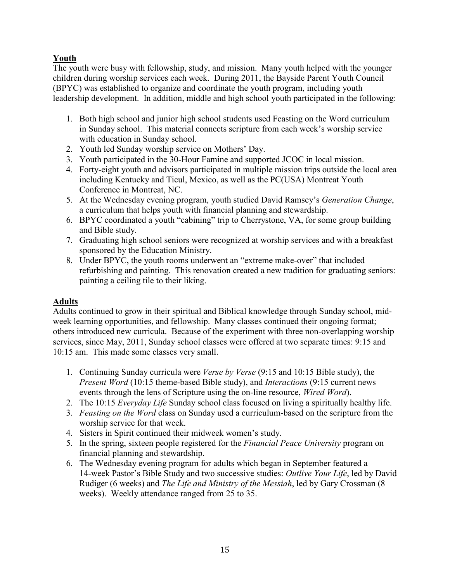# Youth

The youth were busy with fellowship, study, and mission. Many youth helped with the younger children during worship services each week. During 2011, the Bayside Parent Youth Council (BPYC) was established to organize and coordinate the youth program, including youth leadership development. In addition, middle and high school youth participated in the following:

- 1. Both high school and junior high school students used Feasting on the Word curriculum in Sunday school. This material connects scripture from each week's worship service with education in Sunday school.
- 2. Youth led Sunday worship service on Mothers' Day.
- 3. Youth participated in the 30-Hour Famine and supported JCOC in local mission.
- 4. Forty-eight youth and advisors participated in multiple mission trips outside the local area including Kentucky and Ticul, Mexico, as well as the PC(USA) Montreat Youth Conference in Montreat, NC.
- 5. At the Wednesday evening program, youth studied David Ramsey's Generation Change, a curriculum that helps youth with financial planning and stewardship.
- 6. BPYC coordinated a youth "cabining" trip to Cherrystone, VA, for some group building and Bible study.
- 7. Graduating high school seniors were recognized at worship services and with a breakfast sponsored by the Education Ministry.
- 8. Under BPYC, the youth rooms underwent an "extreme make-over" that included refurbishing and painting. This renovation created a new tradition for graduating seniors: painting a ceiling tile to their liking.

# **Adults**

Adults continued to grow in their spiritual and Biblical knowledge through Sunday school, midweek learning opportunities, and fellowship. Many classes continued their ongoing format: others introduced new curricula. Because of the experiment with three non-overlapping worship services, since May, 2011, Sunday school classes were offered at two separate times: 9:15 and 10:15 am. This made some classes very small.

- 1. Continuing Sunday curricula were *Verse by Verse* (9:15 and 10:15 Bible study), the *Present Word* (10:15 theme-based Bible study), and *Interactions* (9:15 current news) events through the lens of Scripture using the on-line resource, *Wired Word*).
- 2. The 10:15 *Everyday Life* Sunday school class focused on living a spiritually healthy life.
- 3. Feasting on the Word class on Sunday used a curriculum-based on the scripture from the worship service for that week.
- 4. Sisters in Spirit continued their midweek women's study.
- 5. In the spring, sixteen people registered for the *Financial Peace University* program on financial planning and stewardship.
- 6. The Wednesday evening program for adults which began in September featured a 14-week Pastor's Bible Study and two successive studies: Outlive Your Life, led by David Rudiger (6 weeks) and *The Life and Ministry of the Messiah*, led by Gary Crossman (8) weeks). Weekly attendance ranged from 25 to 35.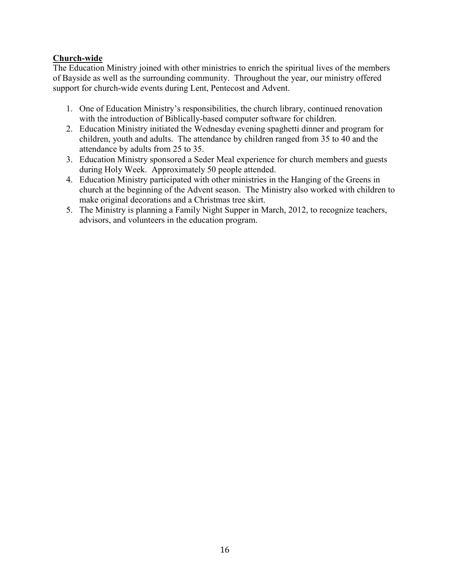### **Church-wide**

The Education Ministry joined with other ministries to enrich the spiritual lives of the members of Bayside as well as the surrounding community. Throughout the year, our ministry offered support for church-wide events during Lent, Pentecost and Advent.

- 1. One of Education Ministry's responsibilities, the church library, continued renovation with the introduction of Biblically-based computer software for children.
- 2. Education Ministry initiated the Wednesday evening spaghetti dinner and program for children, youth and adults. The attendance by children ranged from 35 to 40 and the attendance by adults from 25 to 35.
- 3. Education Ministry sponsored a Seder Meal experience for church members and guests during Holy Week. Approximately 50 people attended.
- 4. Education Ministry participated with other ministries in the Hanging of the Greens in church at the beginning of the Advent season. The Ministry also worked with children to make original decorations and a Christmas tree skirt.
- 5. The Ministry is planning a Family Night Supper in March, 2012, to recognize teachers, advisors, and volunteers in the education program.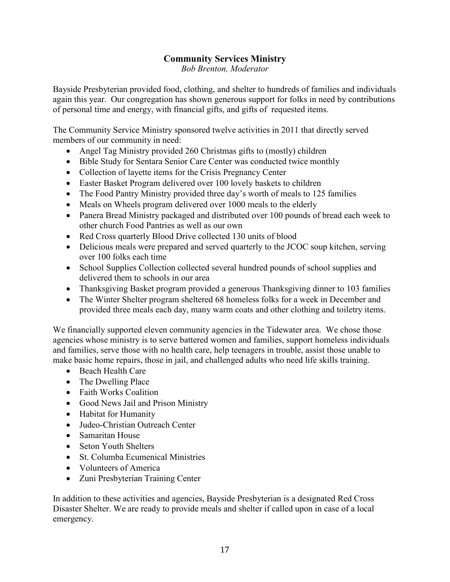# **Community Services Ministry**

**Bob Brenton, Moderator** 

Bayside Presbyterian provided food, clothing, and shelter to hundreds of families and individuals again this year. Our congregation has shown generous support for folks in need by contributions of personal time and energy, with financial gifts, and gifts of requested items.

The Community Service Ministry sponsored twelve activities in 2011 that directly served members of our community in need:

- Angel Tag Ministry provided 260 Christmas gifts to (mostly) children
- Bible Study for Sentara Senior Care Center was conducted twice monthly
- Collection of layette items for the Crisis Pregnancy Center
- Easter Basket Program delivered over 100 lovely baskets to children
- The Food Pantry Ministry provided three day's worth of meals to 125 families
- Meals on Wheels program delivered over 1000 meals to the elderly
- Panera Bread Ministry packaged and distributed over 100 pounds of bread each week to other church Food Pantries as well as our own
- Red Cross quarterly Blood Drive collected 130 units of blood
- Delicious meals were prepared and served quarterly to the JCOC soup kitchen, serving over 100 folks each time
- School Supplies Collection collected several hundred pounds of school supplies and delivered them to schools in our area
- Thanksgiving Basket program provided a generous Thanksgiving dinner to 103 families
- The Winter Shelter program sheltered 68 homeless folks for a week in December and provided three meals each day, many warm coats and other clothing and toiletry items.

We financially supported eleven community agencies in the Tidewater area. We chose those agencies whose ministry is to serve battered women and families, support homeless individuals and families, serve those with no health care, help teenagers in trouble, assist those unable to make basic home repairs, those in jail, and challenged adults who need life skills training.

- $\bullet$  Beach Health Care
- The Dwelling Place
- Faith Works Coalition
- Good News Jail and Prison Ministry
- Habitat for Humanity
- Judeo-Christian Outreach Center
- Samaritan House
- Seton Youth Shelters
- St. Columba Ecumenical Ministries
- Volunteers of America
- Zuni Presbyterian Training Center

In addition to these activities and agencies, Bayside Presbyterian is a designated Red Cross Disaster Shelter. We are ready to provide meals and shelter if called upon in case of a local emergency.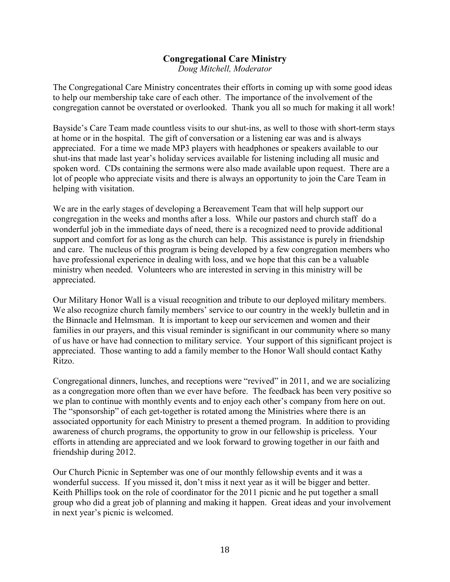# **Congregational Care Ministry**

Doug Mitchell, Moderator

The Congregational Care Ministry concentrates their efforts in coming up with some good ideas to help our membership take care of each other. The importance of the involvement of the congregation cannot be overstated or overlooked. Thank you all so much for making it all work!

Bayside's Care Team made countless visits to our shut-ins, as well to those with short-term stays at home or in the hospital. The gift of conversation or a listening ear was and is always appreciated. For a time we made MP3 players with headphones or speakers available to our shut-ins that made last year's holiday services available for listening including all music and spoken word. CDs containing the sermons were also made available upon request. There are a lot of people who appreciate visits and there is always an opportunity to join the Care Team in helping with visitation.

We are in the early stages of developing a Bereavement Team that will help support our congregation in the weeks and months after a loss. While our pastors and church staff do a wonderful job in the immediate days of need, there is a recognized need to provide additional support and comfort for as long as the church can help. This assistance is purely in friendship and care. The nucleus of this program is being developed by a few congregation members who have professional experience in dealing with loss, and we hope that this can be a valuable ministry when needed. Volunteers who are interested in serving in this ministry will be appreciated.

Our Military Honor Wall is a visual recognition and tribute to our deployed military members. We also recognize church family members' service to our country in the weekly bulletin and in the Binnacle and Helmsman. It is important to keep our servicemen and women and their families in our prayers, and this visual reminder is significant in our community where so many of us have or have had connection to military service. Your support of this significant project is appreciated. Those wanting to add a family member to the Honor Wall should contact Kathy Ritzo.

Congregational dinners, lunches, and receptions were "revived" in 2011, and we are socializing as a congregation more often than we ever have before. The feedback has been very positive so we plan to continue with monthly events and to enjoy each other's company from here on out. The "sponsorship" of each get-together is rotated among the Ministries where there is an associated opportunity for each Ministry to present a themed program. In addition to providing awareness of church programs, the opportunity to grow in our fellowship is priceless. Your efforts in attending are appreciated and we look forward to growing together in our faith and friendship during 2012.

Our Church Picnic in September was one of our monthly fellowship events and it was a wonderful success. If you missed it, don't miss it next year as it will be bigger and better. Keith Phillips took on the role of coordinator for the 2011 picnic and he put together a small group who did a great job of planning and making it happen. Great ideas and your involvement in next year's picnic is welcomed.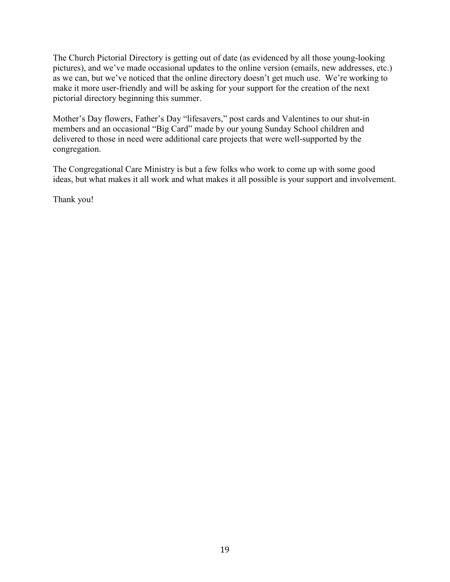The Church Pictorial Directory is getting out of date (as evidenced by all those young-looking pictures), and we've made occasional updates to the online version (emails, new addresses, etc.) as we can, but we've noticed that the online directory doesn't get much use. We're working to make it more user-friendly and will be asking for your support for the creation of the next pictorial directory beginning this summer.

Mother's Day flowers, Father's Day "lifesavers," post cards and Valentines to our shut-in members and an occasional "Big Card" made by our young Sunday School children and delivered to those in need were additional care projects that were well-supported by the congregation.

The Congregational Care Ministry is but a few folks who work to come up with some good ideas, but what makes it all work and what makes it all possible is your support and involvement.

Thank you!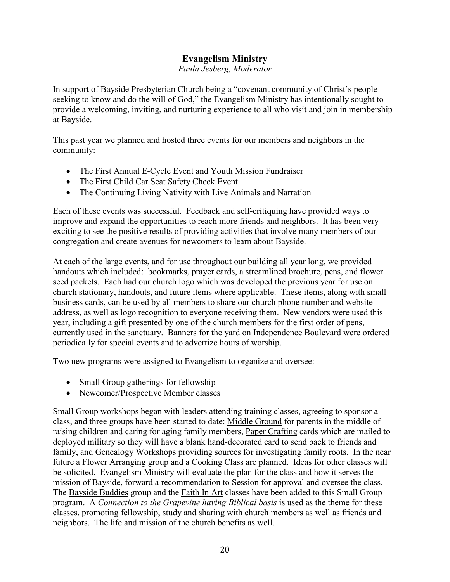# **Evangelism Ministry**

Paula Jesberg, Moderator

In support of Bayside Presbyterian Church being a "covenant community of Christ's people seeking to know and do the will of God," the Evangelism Ministry has intentionally sought to provide a welcoming, inviting, and nurturing experience to all who visit and join in membership at Bayside.

This past year we planned and hosted three events for our members and neighbors in the community:

- The First Annual E-Cycle Event and Youth Mission Fundraiser
- The First Child Car Seat Safety Check Event
- The Continuing Living Nativity with Live Animals and Narration

Each of these events was successful. Feedback and self-critiquing have provided ways to improve and expand the opportunities to reach more friends and neighbors. It has been very exciting to see the positive results of providing activities that involve many members of our congregation and create avenues for newcomers to learn about Bayside.

At each of the large events, and for use throughout our building all year long, we provided handouts which included: bookmarks, prayer cards, a streamlined brochure, pens, and flower seed packets. Each had our church logo which was developed the previous year for use on church stationary, handouts, and future items where applicable. These items, along with small business cards, can be used by all members to share our church phone number and website address, as well as logo recognition to everyone receiving them. New vendors were used this year, including a gift presented by one of the church members for the first order of pens, currently used in the sanctuary. Banners for the yard on Independence Boulevard were ordered periodically for special events and to advertize hours of worship.

Two new programs were assigned to Evangelism to organize and oversee:

- Small Group gatherings for fellowship
- Newcomer/Prospective Member classes

Small Group workshops began with leaders attending training classes, agreeing to sponsor a class, and three groups have been started to date: Middle Ground for parents in the middle of raising children and caring for aging family members, Paper Crafting cards which are mailed to deployed military so they will have a blank hand-decorated card to send back to friends and family, and Genealogy Workshops providing sources for investigating family roots. In the near future a Flower Arranging group and a Cooking Class are planned. Ideas for other classes will be solicited. Evangelism Ministry will evaluate the plan for the class and how it serves the mission of Bayside, forward a recommendation to Session for approval and oversee the class. The Bayside Buddies group and the Faith In Art classes have been added to this Small Group program. A Connection to the Grapevine having Biblical basis is used as the theme for these classes, promoting fellowship, study and sharing with church members as well as friends and neighbors. The life and mission of the church benefits as well.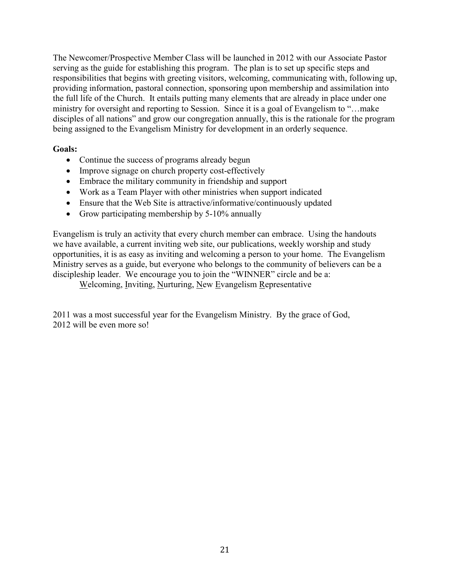The Newcomer/Prospective Member Class will be launched in 2012 with our Associate Pastor serving as the guide for establishing this program. The plan is to set up specific steps and responsibilities that begins with greeting visitors, welcoming, communicating with, following up, providing information, pastoral connection, sponsoring upon membership and assimilation into the full life of the Church. It entails putting many elements that are already in place under one ministry for oversight and reporting to Session. Since it is a goal of Evangelism to "...make" disciples of all nations" and grow our congregation annually, this is the rationale for the program being assigned to the Evangelism Ministry for development in an orderly sequence.

#### **Goals:**

- Continue the success of programs already begun
- Improve signage on church property cost-effectively
- Embrace the military community in friendship and support
- Work as a Team Player with other ministries when support indicated
- Ensure that the Web Site is attractive/informative/continuously updated
- Grow participating membership by  $5-10\%$  annually

Evangelism is truly an activity that every church member can embrace. Using the handouts we have available, a current inviting web site, our publications, weekly worship and study opportunities, it is as easy as inviting and welcoming a person to your home. The Evangelism Ministry serves as a guide, but everyone who belongs to the community of believers can be a discipleship leader. We encourage you to join the "WINNER" circle and be a:

Welcoming, Inviting, Nurturing, New Evangelism Representative

2011 was a most successful year for the Evangelism Ministry. By the grace of God, 2012 will be even more so!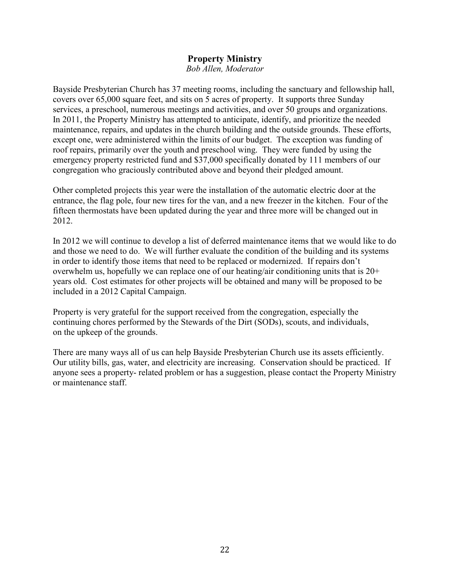# **Property Ministry**

**Bob Allen, Moderator** 

Bayside Presbyterian Church has 37 meeting rooms, including the sanctuary and fellowship hall. covers over 65,000 square feet, and sits on 5 acres of property. It supports three Sunday services, a preschool, numerous meetings and activities, and over 50 groups and organizations. In 2011, the Property Ministry has attempted to anticipate, identify, and prioritize the needed maintenance, repairs, and updates in the church building and the outside grounds. These efforts, except one, were administered within the limits of our budget. The exception was funding of roof repairs, primarily over the youth and preschool wing. They were funded by using the emergency property restricted fund and \$37,000 specifically donated by 111 members of our congregation who graciously contributed above and beyond their pledged amount.

Other completed projects this year were the installation of the automatic electric door at the entrance, the flag pole, four new tires for the van, and a new freezer in the kitchen. Four of the fifteen thermostats have been updated during the year and three more will be changed out in 2012.

In 2012 we will continue to develop a list of deferred maintenance items that we would like to do and those we need to do. We will further evaluate the condition of the building and its systems in order to identify those items that need to be replaced or modernized. If repairs don't overwhelm us, hopefully we can replace one of our heating/air conditioning units that is  $20+$ years old. Cost estimates for other projects will be obtained and many will be proposed to be included in a 2012 Capital Campaign.

Property is very grateful for the support received from the congregation, especially the continuing chores performed by the Stewards of the Dirt (SODs), scouts, and individuals, on the upkeep of the grounds.

There are many ways all of us can help Bayside Presbyterian Church use its assets efficiently. Our utility bills, gas, water, and electricity are increasing. Conservation should be practiced. If anyone sees a property- related problem or has a suggestion, please contact the Property Ministry or maintenance staff.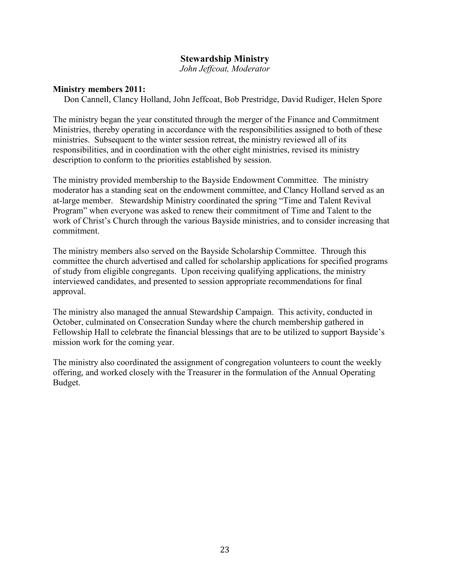### **Stewardship Ministry**

John Jeffcoat, Moderator

#### **Ministry members 2011:**

Don Cannell, Clancy Holland, John Jeffcoat, Bob Prestridge, David Rudiger, Helen Spore

The ministry began the year constituted through the merger of the Finance and Commitment Ministries, thereby operating in accordance with the responsibilities assigned to both of these ministries. Subsequent to the winter session retreat, the ministry reviewed all of its responsibilities, and in coordination with the other eight ministries, revised its ministry description to conform to the priorities established by session.

The ministry provided membership to the Bayside Endowment Committee. The ministry moderator has a standing seat on the endowment committee, and Clancy Holland served as an at-large member. Stewardship Ministry coordinated the spring "Time and Talent Revival" Program" when everyone was asked to renew their commitment of Time and Talent to the work of Christ's Church through the various Bayside ministries, and to consider increasing that commitment.

The ministry members also served on the Bayside Scholarship Committee. Through this committee the church advertised and called for scholarship applications for specified programs of study from eligible congregants. Upon receiving qualifying applications, the ministry interviewed candidates, and presented to session appropriate recommendations for final approval.

The ministry also managed the annual Stewardship Campaign. This activity, conducted in October, culminated on Consecration Sunday where the church membership gathered in Fellowship Hall to celebrate the financial blessings that are to be utilized to support Bayside's mission work for the coming year.

The ministry also coordinated the assignment of congregation volunteers to count the weekly offering, and worked closely with the Treasurer in the formulation of the Annual Operating Budget.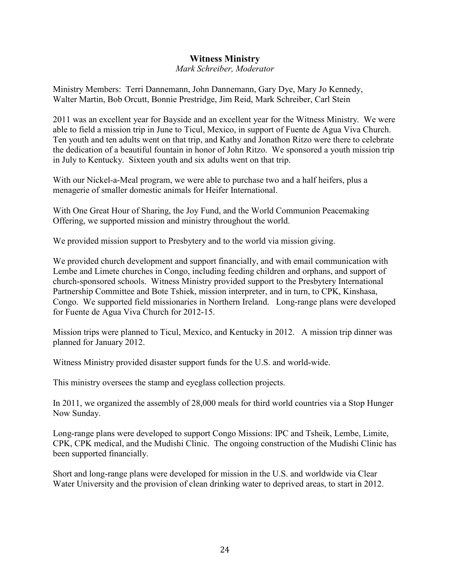## **Witness Ministry**

Mark Schreiber, Moderator

Ministry Members: Terri Dannemann, John Dannemann, Gary Dye, Mary Jo Kennedy, Walter Martin, Bob Orcutt, Bonnie Prestridge, Jim Reid, Mark Schreiber, Carl Stein

2011 was an excellent year for Bayside and an excellent year for the Witness Ministry. We were able to field a mission trip in June to Ticul, Mexico, in support of Fuente de Agua Viva Church. Ten youth and ten adults went on that trip, and Kathy and Jonathon Ritzo were there to celebrate the dedication of a beautiful fountain in honor of John Ritzo. We sponsored a youth mission trip in July to Kentucky. Sixteen youth and six adults went on that trip.

With our Nickel-a-Meal program, we were able to purchase two and a half heifers, plus a menagerie of smaller domestic animals for Heifer International.

With One Great Hour of Sharing, the Joy Fund, and the World Communion Peacemaking Offering, we supported mission and ministry throughout the world.

We provided mission support to Presbytery and to the world via mission giving.

We provided church development and support financially, and with email communication with Lembe and Limete churches in Congo, including feeding children and orphans, and support of church-sponsored schools. Witness Ministry provided support to the Presbytery International Partnership Committee and Bote Tshiek, mission interpreter, and in turn, to CPK, Kinshasa, Congo. We supported field missionaries in Northern Ireland. Long-range plans were developed for Fuente de Agua Viva Church for 2012-15.

Mission trips were planned to Ticul, Mexico, and Kentucky in 2012. A mission trip dinner was planned for January 2012.

Witness Ministry provided disaster support funds for the U.S. and world-wide.

This ministry oversees the stamp and eyeglass collection projects.

In 2011, we organized the assembly of 28,000 meals for third world countries via a Stop Hunger Now Sunday.

Long-range plans were developed to support Congo Missions: IPC and Tsheik, Lembe, Limite, CPK, CPK medical, and the Mudishi Clinic. The ongoing construction of the Mudishi Clinic has been supported financially.

Short and long-range plans were developed for mission in the U.S. and worldwide via Clear Water University and the provision of clean drinking water to deprived areas, to start in 2012.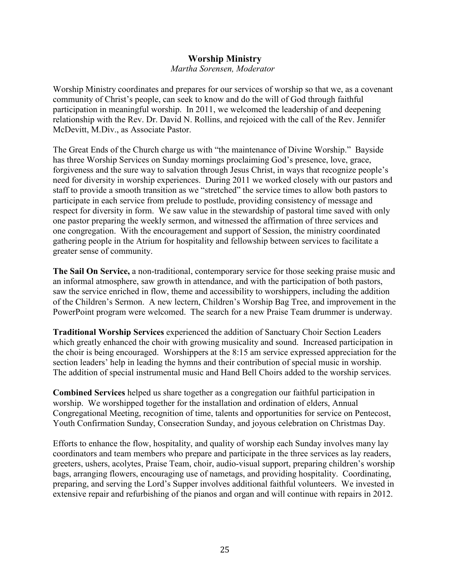## **Worship Ministry**

#### Martha Sorensen, Moderator

Worship Ministry coordinates and prepares for our services of worship so that we, as a covenant community of Christ's people, can seek to know and do the will of God through faithful participation in meaningful worship. In 2011, we welcomed the leadership of and deepening relationship with the Rev. Dr. David N. Rollins, and rejoiced with the call of the Rev. Jennifer McDevitt, M.Div., as Associate Pastor.

The Great Ends of the Church charge us with "the maintenance of Divine Worship." Bayside has three Worship Services on Sunday mornings proclaiming God's presence, love, grace, forgiveness and the sure way to salvation through Jesus Christ, in ways that recognize people's need for diversity in worship experiences. During 2011 we worked closely with our pastors and staff to provide a smooth transition as we "stretched" the service times to allow both pastors to participate in each service from prelude to postlude, providing consistency of message and respect for diversity in form. We saw value in the stewardship of pastoral time saved with only one pastor preparing the weekly sermon, and witnessed the affirmation of three services and one congregation. With the encouragement and support of Session, the ministry coordinated gathering people in the Atrium for hospitality and fellowship between services to facilitate a greater sense of community.

The Sail On Service, a non-traditional, contemporary service for those seeking praise music and an informal atmosphere, saw growth in attendance, and with the participation of both pastors, saw the service enriched in flow, theme and accessibility to worshippers, including the addition of the Children's Sermon. A new lectern, Children's Worship Bag Tree, and improvement in the PowerPoint program were welcomed. The search for a new Praise Team drummer is underway.

**Traditional Worship Services** experienced the addition of Sanctuary Choir Section Leaders which greatly enhanced the choir with growing musicality and sound. Increased participation in the choir is being encouraged. Worshippers at the 8:15 am service expressed appreciation for the section leaders' help in leading the hymns and their contribution of special music in worship. The addition of special instrumental music and Hand Bell Choirs added to the worship services.

**Combined Services** helped us share together as a congregation our faithful participation in worship. We worshipped together for the installation and ordination of elders, Annual Congregational Meeting, recognition of time, talents and opportunities for service on Pentecost. Youth Confirmation Sunday, Consecration Sunday, and joyous celebration on Christmas Day.

Efforts to enhance the flow, hospitality, and quality of worship each Sunday involves many lay coordinators and team members who prepare and participate in the three services as lay readers, greeters, ushers, acolytes, Praise Team, choir, audio-visual support, preparing children's worship bags, arranging flowers, encouraging use of nametags, and providing hospitality. Coordinating, preparing, and serving the Lord's Supper involves additional faithful volunteers. We invested in extensive repair and refurbishing of the pianos and organ and will continue with repairs in 2012.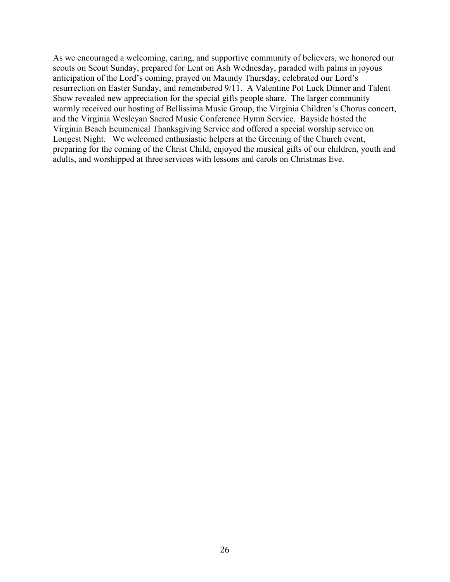As we encouraged a welcoming, caring, and supportive community of believers, we honored our scouts on Scout Sunday, prepared for Lent on Ash Wednesday, paraded with palms in joyous anticipation of the Lord's coming, prayed on Maundy Thursday, celebrated our Lord's resurrection on Easter Sunday, and remembered 9/11. A Valentine Pot Luck Dinner and Talent Show revealed new appreciation for the special gifts people share. The larger community warmly received our hosting of Bellissima Music Group, the Virginia Children's Chorus concert, and the Virginia Wesleyan Sacred Music Conference Hymn Service. Bayside hosted the Virginia Beach Ecumenical Thanksgiving Service and offered a special worship service on Longest Night. We welcomed enthusiastic helpers at the Greening of the Church event, preparing for the coming of the Christ Child, enjoyed the musical gifts of our children, youth and adults, and worshipped at three services with lessons and carols on Christmas Eve.